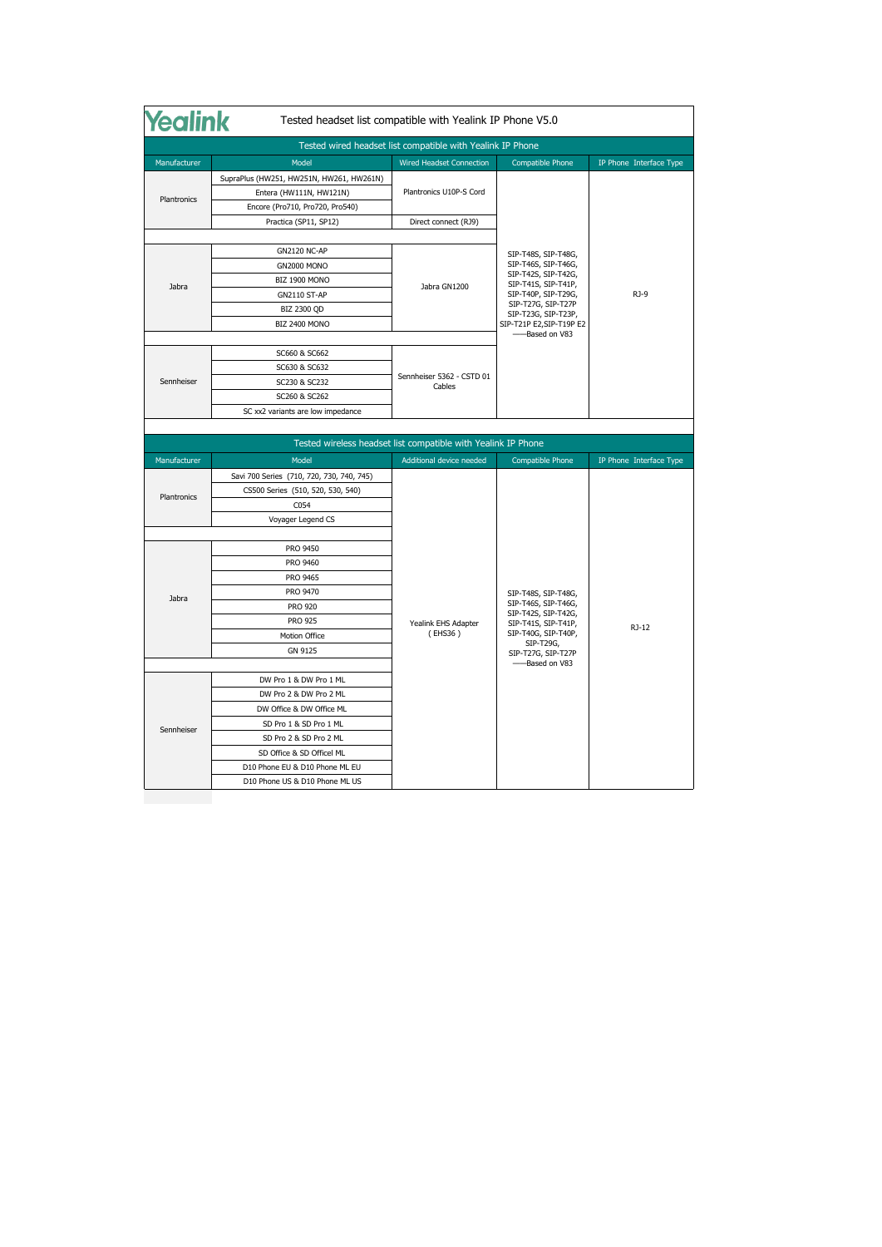| <b><i><u>lealink</u></i></b><br>Tested headset list compatible with Yealink IP Phone V5.0 |                                           |                                                               |                                                                                                                                                              |                         |
|-------------------------------------------------------------------------------------------|-------------------------------------------|---------------------------------------------------------------|--------------------------------------------------------------------------------------------------------------------------------------------------------------|-------------------------|
|                                                                                           |                                           | Tested wired headset list compatible with Yealink IP Phone    |                                                                                                                                                              |                         |
| Manufacturer                                                                              | Model                                     | <b>Wired Headset Connection</b>                               | <b>Compatible Phone</b>                                                                                                                                      | IP Phone Interface Type |
| Plantronics                                                                               | SupraPlus (HW251, HW251N, HW261, HW261N)  | Plantronics U10P-S Cord                                       |                                                                                                                                                              |                         |
|                                                                                           | Entera (HW111N, HW121N)                   |                                                               |                                                                                                                                                              |                         |
|                                                                                           | Encore (Pro710, Pro720, Pro540)           |                                                               |                                                                                                                                                              |                         |
|                                                                                           | Practica (SP11, SP12)                     | Direct connect (RJ9)                                          |                                                                                                                                                              |                         |
|                                                                                           |                                           |                                                               |                                                                                                                                                              |                         |
|                                                                                           | <b>GN2120 NC-AP</b>                       |                                                               | SIP-T48S, SIP-T48G,<br>SIP-T46S, SIP-T46G,<br>SIP-T42S, SIP-T42G,<br>SIP-T41S, SIP-T41P,<br>SIP-T40P, SIP-T29G,<br>SIP-T27G, SIP-T27P<br>SIP-T23G, SIP-T23P, | RJ-9                    |
|                                                                                           | <b>GN2000 MONO</b>                        |                                                               |                                                                                                                                                              |                         |
| Jabra                                                                                     | BIZ 1900 MONO                             | Jabra GN1200                                                  |                                                                                                                                                              |                         |
|                                                                                           | <b>GN2110 ST-AP</b>                       |                                                               |                                                                                                                                                              |                         |
|                                                                                           | <b>BIZ 2300 QD</b>                        |                                                               |                                                                                                                                                              |                         |
|                                                                                           | BIZ 2400 MONO                             |                                                               | SIP-T21P E2,SIP-T19P E2                                                                                                                                      |                         |
|                                                                                           |                                           |                                                               | -Based on V83                                                                                                                                                |                         |
|                                                                                           | SC660 & SC662                             |                                                               |                                                                                                                                                              |                         |
|                                                                                           | SC630 & SC632                             | Sennheiser 5362 - CSTD 01<br>Cables                           |                                                                                                                                                              |                         |
| Sennheiser                                                                                | SC230 & SC232                             |                                                               |                                                                                                                                                              |                         |
|                                                                                           | SC260 & SC262                             |                                                               |                                                                                                                                                              |                         |
|                                                                                           |                                           |                                                               |                                                                                                                                                              |                         |
|                                                                                           | SC xx2 variants are low impedance         |                                                               |                                                                                                                                                              |                         |
|                                                                                           |                                           |                                                               |                                                                                                                                                              |                         |
|                                                                                           |                                           | Tested wireless headset list compatible with Yealink IP Phone |                                                                                                                                                              |                         |
| Manufacturer                                                                              | Model                                     | Additional device needed                                      | <b>Compatible Phone</b>                                                                                                                                      | IP Phone Interface Type |
|                                                                                           | Savi 700 Series (710, 720, 730, 740, 745) |                                                               |                                                                                                                                                              |                         |
|                                                                                           | CS500 Series (510, 520, 530, 540)         |                                                               |                                                                                                                                                              |                         |
| Plantronics                                                                               | C054                                      |                                                               |                                                                                                                                                              |                         |
|                                                                                           | Voyager Legend CS                         |                                                               |                                                                                                                                                              |                         |
|                                                                                           |                                           |                                                               |                                                                                                                                                              |                         |
|                                                                                           | PRO 9450                                  |                                                               |                                                                                                                                                              |                         |
|                                                                                           | PRO 9460                                  |                                                               |                                                                                                                                                              |                         |
|                                                                                           | PRO 9465                                  |                                                               |                                                                                                                                                              |                         |
|                                                                                           | PRO 9470                                  |                                                               | SIP-T48S, SIP-T48G,                                                                                                                                          |                         |
| Jabra                                                                                     | <b>PRO 920</b>                            |                                                               | SIP-T46S, SIP-T46G,                                                                                                                                          |                         |
|                                                                                           | <b>PRO 925</b>                            | Yealink EHS Adapter                                           | SIP-T42S, SIP-T42G,<br>SIP-T41S, SIP-T41P,                                                                                                                   |                         |
|                                                                                           | Motion Office                             | (EHS36)                                                       | SIP-T40G, SIP-T40P,                                                                                                                                          | RJ-12                   |
|                                                                                           | <b>GN 9125</b>                            |                                                               | SIP-T29G,<br>SIP-T27G, SIP-T27P                                                                                                                              |                         |
|                                                                                           |                                           |                                                               | -Based on V83                                                                                                                                                |                         |
|                                                                                           | DW Pro 1 & DW Pro 1 ML                    |                                                               |                                                                                                                                                              |                         |
|                                                                                           | DW Pro 2 & DW Pro 2 ML                    |                                                               |                                                                                                                                                              |                         |
|                                                                                           | DW Office & DW Office ML                  |                                                               |                                                                                                                                                              |                         |
|                                                                                           | SD Pro 1 & SD Pro 1 ML                    |                                                               |                                                                                                                                                              |                         |
| Sennheiser                                                                                | SD Pro 2 & SD Pro 2 ML                    |                                                               |                                                                                                                                                              |                         |
|                                                                                           | SD Office & SD Officel ML                 |                                                               |                                                                                                                                                              |                         |
|                                                                                           | D10 Phone EU & D10 Phone ML EU            |                                                               |                                                                                                                                                              |                         |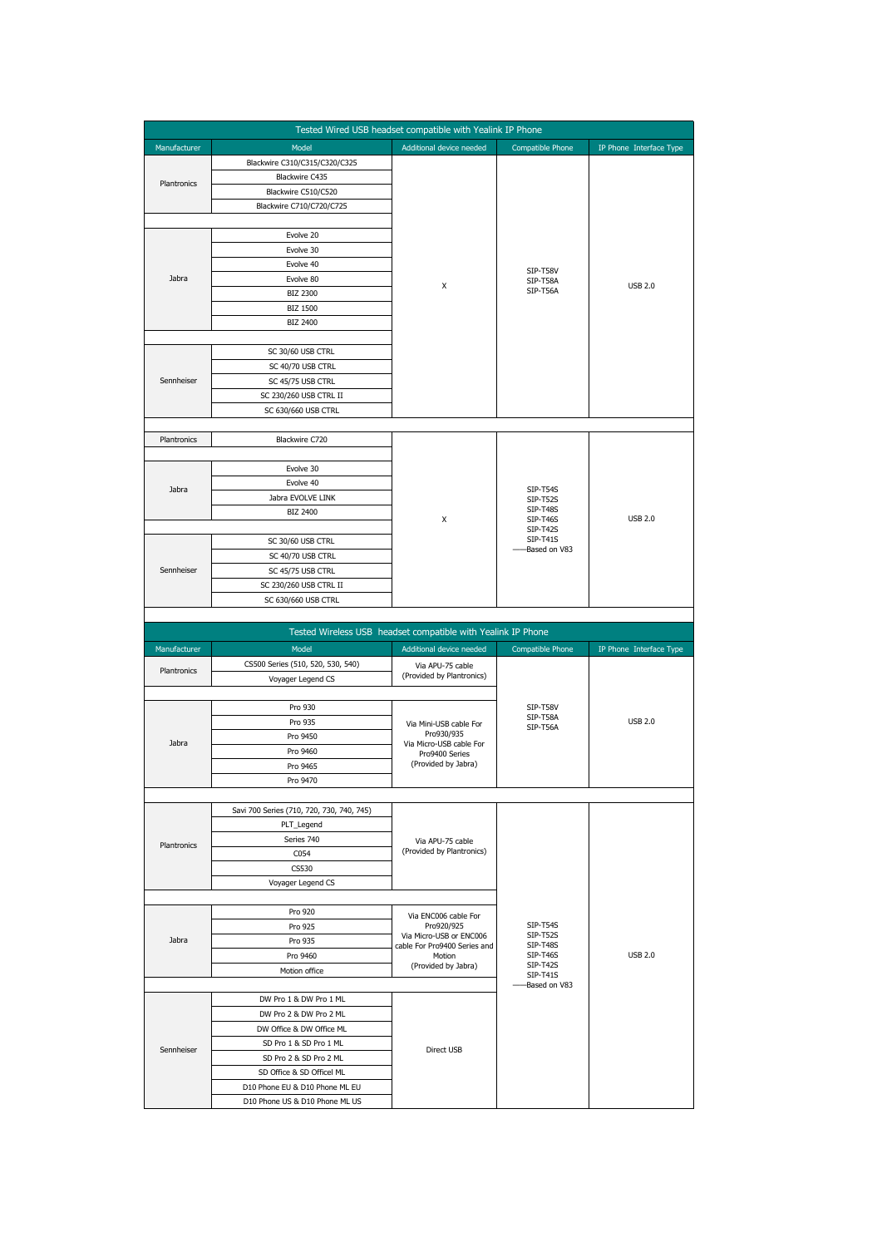|              |                                                                  | Tested Wired USB headset compatible with Yealink IP Phone    |                                    |                         |
|--------------|------------------------------------------------------------------|--------------------------------------------------------------|------------------------------------|-------------------------|
| Manufacturer | Model                                                            | Additional device needed                                     | Compatible Phone                   | IP Phone Interface Type |
|              | Blackwire C310/C315/C320/C325                                    |                                                              |                                    |                         |
|              | Blackwire C435                                                   |                                                              |                                    |                         |
| Plantronics  | Blackwire C510/C520                                              |                                                              |                                    |                         |
|              | Blackwire C710/C720/C725                                         |                                                              |                                    |                         |
|              |                                                                  |                                                              |                                    |                         |
|              | Evolve 20                                                        | X                                                            | SIP-T58V<br>SIP-T58A               | <b>USB 2.0</b>          |
|              | Evolve 30                                                        |                                                              |                                    |                         |
|              | Evolve 40                                                        |                                                              |                                    |                         |
| Jabra        | Evolve 80                                                        |                                                              |                                    |                         |
|              | <b>BIZ 2300</b>                                                  |                                                              | SIP-T56A                           |                         |
|              | <b>BIZ 1500</b>                                                  |                                                              |                                    |                         |
|              | <b>BIZ 2400</b>                                                  |                                                              |                                    |                         |
|              |                                                                  |                                                              |                                    |                         |
|              | SC 30/60 USB CTRL                                                |                                                              |                                    |                         |
| Sennheiser   | SC 40/70 USB CTRL                                                |                                                              |                                    |                         |
|              | SC 45/75 USB CTRL                                                |                                                              |                                    |                         |
|              | SC 230/260 USB CTRL II                                           |                                                              |                                    |                         |
|              | SC 630/660 USB CTRL                                              |                                                              |                                    |                         |
| Plantronics  | Blackwire C720                                                   |                                                              |                                    |                         |
|              |                                                                  |                                                              |                                    |                         |
|              | Evolve 30                                                        |                                                              |                                    |                         |
|              | Evolve 40                                                        |                                                              |                                    | <b>USB 2.0</b>          |
| Jabra        | Jabra EVOLVE LINK                                                |                                                              | SIP-T54S<br><b>SIP-T52S</b>        |                         |
|              | <b>BIZ 2400</b>                                                  |                                                              | <b>SIP-T48S</b>                    |                         |
|              |                                                                  | X                                                            | <b>SIP-T46S</b><br>SIP-T42S        |                         |
|              | SC 30/60 USB CTRL                                                |                                                              | <b>SIP-T41S</b><br>Based on V83    |                         |
|              | SC 40/70 USB CTRL                                                |                                                              |                                    |                         |
| Sennheiser   | SC 45/75 USB CTRL                                                |                                                              |                                    |                         |
|              | SC 230/260 USB CTRL II                                           |                                                              |                                    |                         |
|              | SC 630/660 USB CTRL                                              |                                                              |                                    |                         |
|              |                                                                  |                                                              |                                    |                         |
|              |                                                                  |                                                              |                                    |                         |
|              |                                                                  | Tested Wireless USB headset compatible with Yealink IP Phone |                                    |                         |
| Manufacturer | Model                                                            | Additional device needed                                     | Compatible Phone                   | IP Phone Interface Type |
| Plantronics  | CS500 Series (510, 520, 530, 540)                                | Via APU-75 cable                                             |                                    |                         |
|              | Voyager Legend CS                                                | (Provided by Plantronics)                                    |                                    |                         |
|              |                                                                  |                                                              |                                    |                         |
|              | Pro 930                                                          |                                                              | SIP-T58V<br>SIP-T58A               | <b>USB 2.0</b>          |
|              | Pro 935<br>Pro 9450                                              | Via Mini-USB cable For<br>Pro930/935                         | SIP-T56A                           |                         |
| Jabra        | Pro 9460                                                         | Via Micro-USB cable For                                      |                                    |                         |
|              | Pro 9465                                                         | Pro9400 Series<br>(Provided by Jabra)                        |                                    |                         |
|              | Pro 9470                                                         |                                                              |                                    |                         |
|              |                                                                  |                                                              |                                    |                         |
|              | Savi 700 Series (710, 720, 730, 740, 745)                        |                                                              |                                    |                         |
|              | PLT Legend                                                       |                                                              |                                    |                         |
| Plantronics  | Series 740                                                       | Via APU-75 cable                                             |                                    |                         |
|              | C054                                                             | (Provided by Plantronics)                                    |                                    |                         |
|              | CS530                                                            |                                                              |                                    |                         |
|              | Voyager Legend CS                                                |                                                              |                                    |                         |
|              |                                                                  |                                                              |                                    |                         |
|              | Pro 920                                                          | Via ENC006 cable For                                         |                                    |                         |
| Jabra        | Pro 925                                                          | Pro920/925<br>Via Micro-USB or ENC006                        | <b>SIP-T54S</b><br><b>SIP-T52S</b> |                         |
|              | Pro 935                                                          | cable For Pro9400 Series and                                 | <b>SIP-T48S</b><br>SIP-T46S        | <b>USB 2.0</b>          |
|              | Pro 9460<br>Motion office                                        | Motion<br>(Provided by Jabra)                                | <b>SIP-T42S</b>                    |                         |
|              |                                                                  |                                                              | SIP-T41S<br>Based on V83           |                         |
|              | DW Pro 1 & DW Pro 1 ML                                           |                                                              |                                    |                         |
|              | DW Pro 2 & DW Pro 2 ML                                           |                                                              |                                    |                         |
|              | DW Office & DW Office ML                                         |                                                              |                                    |                         |
|              | SD Pro 1 & SD Pro 1 ML                                           |                                                              |                                    |                         |
| Sennheiser   | SD Pro 2 & SD Pro 2 ML                                           | Direct USB                                                   |                                    |                         |
|              | SD Office & SD Officel ML                                        |                                                              |                                    |                         |
|              | D10 Phone EU & D10 Phone ML EU<br>D10 Phone US & D10 Phone ML US |                                                              |                                    |                         |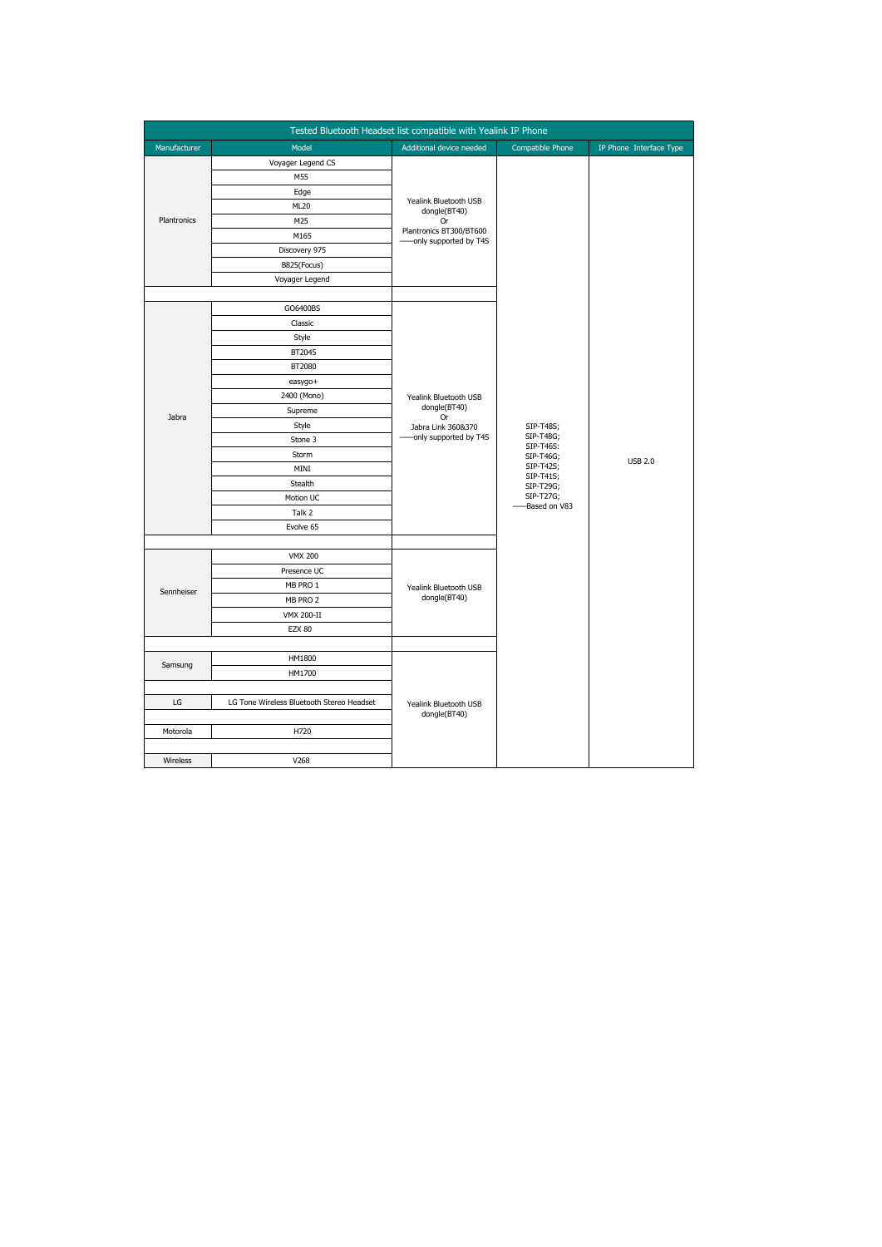| Tested Bluetooth Headset list compatible with Yealink IP Phone |                                           |                                                                                                  |                                                                   |                         |
|----------------------------------------------------------------|-------------------------------------------|--------------------------------------------------------------------------------------------------|-------------------------------------------------------------------|-------------------------|
| Manufacturer                                                   | Model                                     | Additional device needed                                                                         | Compatible Phone                                                  | IP Phone Interface Type |
|                                                                | Voyager Legend CS                         |                                                                                                  |                                                                   |                         |
|                                                                | M55                                       |                                                                                                  |                                                                   |                         |
|                                                                | Edge                                      |                                                                                                  |                                                                   |                         |
|                                                                | ML20                                      | Yealink Bluetooth USB<br>dongle(BT40)<br>Or<br>Plantronics BT300/BT600<br>-only supported by T4S |                                                                   |                         |
| Plantronics                                                    | M25                                       |                                                                                                  |                                                                   |                         |
|                                                                | M165                                      |                                                                                                  |                                                                   |                         |
|                                                                | Discovery 975                             |                                                                                                  |                                                                   |                         |
|                                                                | B825(Focus)                               |                                                                                                  |                                                                   |                         |
|                                                                | Voyager Legend                            |                                                                                                  |                                                                   |                         |
|                                                                |                                           |                                                                                                  |                                                                   |                         |
|                                                                | GO6400BS                                  |                                                                                                  |                                                                   |                         |
|                                                                | Classic                                   |                                                                                                  |                                                                   |                         |
|                                                                | Style                                     |                                                                                                  |                                                                   |                         |
|                                                                | BT2045                                    |                                                                                                  |                                                                   | <b>USB 2.0</b>          |
|                                                                | BT2080                                    |                                                                                                  |                                                                   |                         |
|                                                                | easygo+                                   |                                                                                                  |                                                                   |                         |
|                                                                | 2400 (Mono)                               | Yealink Bluetooth USB<br>dongle(BT40)                                                            |                                                                   |                         |
| Jabra                                                          | Supreme                                   | <b>Or</b>                                                                                        |                                                                   |                         |
|                                                                | Style                                     | Jabra Link 360&370                                                                               | SIP-T48S;<br>SIP-T48G;                                            |                         |
|                                                                | Stone 3                                   | -only supported by T4S                                                                           | SIP-T46S:                                                         |                         |
|                                                                | Storm                                     |                                                                                                  | SIP-T46G;                                                         |                         |
|                                                                | MINI                                      |                                                                                                  | SIP-T42S;<br>SIP-T41S;<br>SIP-T29G;<br>SIP-T27G;<br>-Based on V83 |                         |
|                                                                | Stealth                                   |                                                                                                  |                                                                   |                         |
|                                                                | Motion UC                                 |                                                                                                  |                                                                   |                         |
|                                                                | Talk 2                                    |                                                                                                  |                                                                   |                         |
|                                                                | Evolve 65                                 |                                                                                                  |                                                                   |                         |
|                                                                | <b>VMX 200</b>                            | Yealink Bluetooth USB<br>dongle(BT40)                                                            |                                                                   |                         |
|                                                                | Presence UC                               |                                                                                                  |                                                                   |                         |
|                                                                | MB PRO 1                                  |                                                                                                  |                                                                   |                         |
| Sennheiser                                                     | MB PRO 2                                  |                                                                                                  |                                                                   |                         |
|                                                                | <b>VMX 200-II</b>                         |                                                                                                  |                                                                   |                         |
|                                                                | <b>EZX 80</b>                             |                                                                                                  |                                                                   |                         |
|                                                                |                                           |                                                                                                  |                                                                   |                         |
|                                                                | HM1800                                    | Yealink Bluetooth USB<br>dongle(BT40)                                                            |                                                                   |                         |
| Samsung                                                        | HM1700                                    |                                                                                                  |                                                                   |                         |
|                                                                |                                           |                                                                                                  |                                                                   |                         |
| LG                                                             | LG Tone Wireless Bluetooth Stereo Headset |                                                                                                  |                                                                   |                         |
|                                                                |                                           |                                                                                                  |                                                                   |                         |
| Motorola                                                       | H720                                      |                                                                                                  |                                                                   |                         |
|                                                                |                                           |                                                                                                  |                                                                   |                         |
| Wireless                                                       | V268                                      |                                                                                                  |                                                                   |                         |
|                                                                |                                           |                                                                                                  |                                                                   |                         |